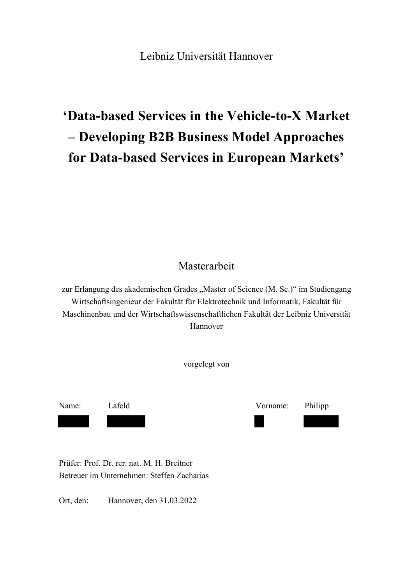#### Leibniz Universität Hannover

# **'Data-based Services in the Vehicle-to-X Market – Developing B2B Business Model Approaches for Data-based Services in European Markets'**

#### Masterarbeit

zur Erlangung des akademischen Grades "Master of Science (M. Sc.)" im Studiengang Wirtschaftsingenieur der Fakultät für Elektrotechnik und Informatik, Fakultät für Maschinenbau und der Wirtschaftswissenschaftlichen Fakultät der Leibniz Universität Hannover

vorgelegt von

Name: Lafeld Vorname: Philipp

Prüfer: Prof. Dr. rer. nat. M. H. Breitner Betreuer im Unternehmen: Steffen Zacharias

Ort, den: Hannover, den 31.03.2022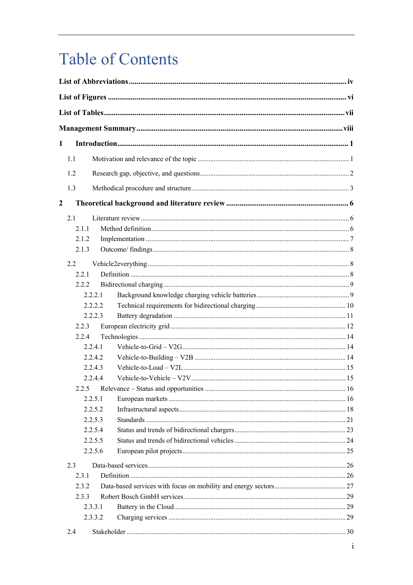# **Table of Contents**

| 1                       |       |         |  |
|-------------------------|-------|---------|--|
|                         | 1.1   |         |  |
|                         |       |         |  |
|                         | 1.2   |         |  |
|                         | 1.3   |         |  |
| $\overline{\mathbf{c}}$ |       |         |  |
|                         | 2.1   |         |  |
|                         | 2.1.1 |         |  |
|                         | 2.1.2 |         |  |
|                         | 2.1.3 |         |  |
|                         | 2.2   |         |  |
|                         | 2.2.1 |         |  |
|                         | 2.2.2 |         |  |
|                         |       | 2.2.2.1 |  |
|                         |       | 2.2.2.2 |  |
|                         |       | 2.2.2.3 |  |
|                         | 2.2.3 |         |  |
|                         | 2.2.4 |         |  |
|                         |       | 2.2.4.1 |  |
|                         |       | 2.2.4.2 |  |
|                         |       | 2.2.4.3 |  |
|                         |       | 2.2.4.4 |  |
|                         |       |         |  |
|                         |       | 2.2.5.1 |  |
|                         |       | 2.2.5.2 |  |
|                         |       | 2.2.5.3 |  |
|                         |       | 2.2.5.4 |  |
|                         |       | 2.2.5.5 |  |
|                         |       | 2.2.5.6 |  |
|                         | 2.3   |         |  |
|                         | 2.3.1 |         |  |
|                         | 2.3.2 |         |  |
|                         | 2.3.3 |         |  |
|                         |       | 2.3.3.1 |  |
|                         |       | 2.3.3.2 |  |
|                         | 2.4   |         |  |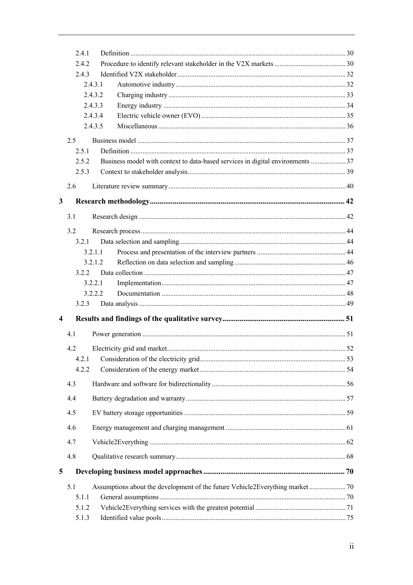|                         | 2.4.1 |                                                                                |  |
|-------------------------|-------|--------------------------------------------------------------------------------|--|
|                         | 2.4.2 |                                                                                |  |
|                         | 2.4.3 |                                                                                |  |
|                         |       | 2.4.3.1                                                                        |  |
|                         |       | 2.4.3.2                                                                        |  |
|                         |       | 2.4.3.3                                                                        |  |
|                         |       | 2.4.3.4                                                                        |  |
|                         |       | 2.4.3.5                                                                        |  |
|                         | 2.5   |                                                                                |  |
|                         | 2.5.1 |                                                                                |  |
|                         | 2.5.2 | Business model with context to data-based services in digital environments  37 |  |
|                         | 2.5.3 |                                                                                |  |
|                         |       |                                                                                |  |
|                         | 2.6   |                                                                                |  |
| 3                       |       |                                                                                |  |
|                         | 3.1   |                                                                                |  |
|                         |       |                                                                                |  |
|                         | 3.2   |                                                                                |  |
|                         | 3.2.1 |                                                                                |  |
|                         |       | 3.2.1.1                                                                        |  |
|                         |       | 3.2.1.2                                                                        |  |
|                         | 3.2.2 |                                                                                |  |
|                         |       | 3.2.2.1                                                                        |  |
|                         |       | 3.2.2.2                                                                        |  |
|                         | 3.2.3 |                                                                                |  |
| $\overline{\mathbf{4}}$ |       |                                                                                |  |
|                         | 4.1   |                                                                                |  |
|                         | 4.2   |                                                                                |  |
|                         | 4.2.1 |                                                                                |  |
|                         | 4.2.2 |                                                                                |  |
|                         | 4.3   |                                                                                |  |
|                         | 4.4   |                                                                                |  |
|                         | 4.5   |                                                                                |  |
|                         | 4.6   |                                                                                |  |
|                         |       |                                                                                |  |
|                         | 4.7   |                                                                                |  |
|                         | 4.8   |                                                                                |  |
| 5                       |       |                                                                                |  |
|                         | 5.1   | Assumptions about the development of the future Vehicle2Everything market 70   |  |
|                         | 5.1.1 |                                                                                |  |
|                         | 5.1.2 |                                                                                |  |
|                         | 5.1.3 |                                                                                |  |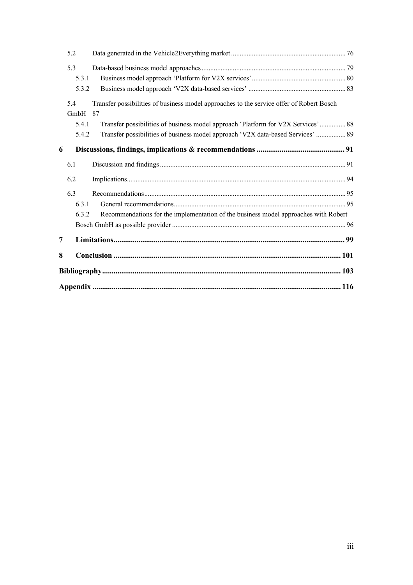|   | 5.2                   |                                                                                                                                                                                    |
|---|-----------------------|------------------------------------------------------------------------------------------------------------------------------------------------------------------------------------|
|   | 5.3<br>5.3.1<br>5.3.2 |                                                                                                                                                                                    |
|   | 5.4<br>GmbH<br>5.4.1  | Transfer possibilities of business model approaches to the service offer of Robert Bosch<br>87<br>Transfer possibilities of business model approach 'Platform for V2X Services' 88 |
| 6 | 5.4.2                 | Transfer possibilities of business model approach 'V2X data-based Services'  89                                                                                                    |
|   |                       |                                                                                                                                                                                    |
|   | 6.1                   |                                                                                                                                                                                    |
|   | 6.2                   |                                                                                                                                                                                    |
|   | 6.3<br>6.3.1<br>6.3.2 | Recommendations for the implementation of the business model approaches with Robert                                                                                                |
| 7 |                       |                                                                                                                                                                                    |
| 8 |                       |                                                                                                                                                                                    |
|   |                       |                                                                                                                                                                                    |
|   |                       |                                                                                                                                                                                    |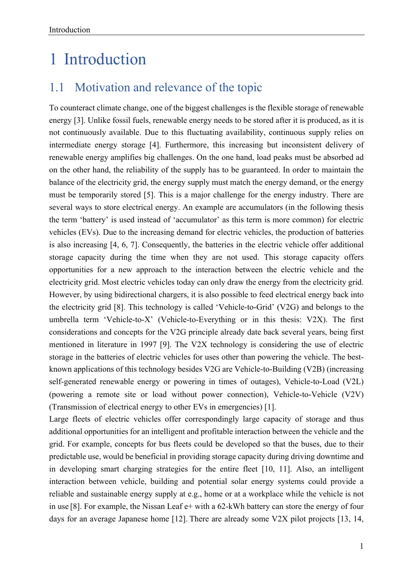## 1 Introduction

#### 1.1 Motivation and relevance of the topic

To counteract climate change, one of the biggest challenges is the flexible storage of renewable energy [3]. Unlike fossil fuels, renewable energy needs to be stored after it is produced, as it is not continuously available. Due to this fluctuating availability, continuous supply relies on intermediate energy storage [4]. Furthermore, this increasing but inconsistent delivery of renewable energy amplifies big challenges. On the one hand, load peaks must be absorbed ad on the other hand, the reliability of the supply has to be guaranteed. In order to maintain the balance of the electricity grid, the energy supply must match the energy demand, or the energy must be temporarily stored [5]. This is a major challenge for the energy industry. There are several ways to store electrical energy. An example are accumulators (in the following thesis the term 'battery' is used instead of 'accumulator' as this term is more common) for electric vehicles (EVs). Due to the increasing demand for electric vehicles, the production of batteries is also increasing [4, 6, 7]. Consequently, the batteries in the electric vehicle offer additional storage capacity during the time when they are not used. This storage capacity offers opportunities for a new approach to the interaction between the electric vehicle and the electricity grid. Most electric vehicles today can only draw the energy from the electricity grid. However, by using bidirectional chargers, it is also possible to feed electrical energy back into the electricity grid [8]. This technology is called 'Vehicle-to-Grid' (V2G) and belongs to the umbrella term 'Vehicle-to-X' (Vehicle-to-Everything or in this thesis: V2X). The first considerations and concepts for the V2G principle already date back several years, being first mentioned in literature in 1997 [9]. The V2X technology is considering the use of electric storage in the batteries of electric vehicles for uses other than powering the vehicle. The bestknown applications of this technology besides V2G are Vehicle-to-Building (V2B) (increasing self-generated renewable energy or powering in times of outages), Vehicle-to-Load (V2L) (powering a remote site or load without power connection), Vehicle-to-Vehicle (V2V) (Transmission of electrical energy to other EVs in emergencies) [1].

Large fleets of electric vehicles offer correspondingly large capacity of storage and thus additional opportunities for an intelligent and profitable interaction between the vehicle and the grid. For example, concepts for bus fleets could be developed so that the buses, due to their predictable use, would be beneficial in providing storage capacity during driving downtime and in developing smart charging strategies for the entire fleet [10, 11]. Also, an intelligent interaction between vehicle, building and potential solar energy systems could provide a reliable and sustainable energy supply at e.g., home or at a workplace while the vehicle is not in use [8]. For example, the Nissan Leaf e+ with a 62-kWh battery can store the energy of four days for an average Japanese home [12]. There are already some V2X pilot projects [13, 14,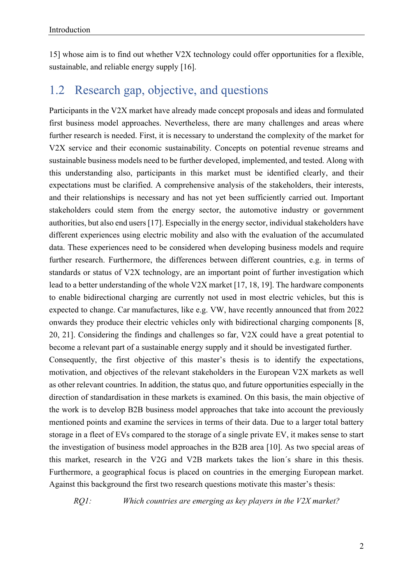15] whose aim is to find out whether V2X technology could offer opportunities for a flexible, sustainable, and reliable energy supply [16].

#### 1.2 Research gap, objective, and questions

Participants in the V2X market have already made concept proposals and ideas and formulated first business model approaches. Nevertheless, there are many challenges and areas where further research is needed. First, it is necessary to understand the complexity of the market for V2X service and their economic sustainability. Concepts on potential revenue streams and sustainable business models need to be further developed, implemented, and tested. Along with this understanding also, participants in this market must be identified clearly, and their expectations must be clarified. A comprehensive analysis of the stakeholders, their interests, and their relationships is necessary and has not yet been sufficiently carried out. Important stakeholders could stem from the energy sector, the automotive industry or government authorities, but also end users [17]. Especially in the energy sector, individual stakeholders have different experiences using electric mobility and also with the evaluation of the accumulated data. These experiences need to be considered when developing business models and require further research. Furthermore, the differences between different countries, e.g. in terms of standards or status of V2X technology, are an important point of further investigation which lead to a better understanding of the whole V2X market [17, 18, 19]. The hardware components to enable bidirectional charging are currently not used in most electric vehicles, but this is expected to change. Car manufactures, like e.g. VW, have recently announced that from 2022 onwards they produce their electric vehicles only with bidirectional charging components [8, 20, 21]. Considering the findings and challenges so far, V2X could have a great potential to become a relevant part of a sustainable energy supply and it should be investigated further.

Consequently, the first objective of this master's thesis is to identify the expectations, motivation, and objectives of the relevant stakeholders in the European V2X markets as well as other relevant countries. In addition, the status quo, and future opportunities especially in the direction of standardisation in these markets is examined. On this basis, the main objective of the work is to develop B2B business model approaches that take into account the previously mentioned points and examine the services in terms of their data. Due to a larger total battery storage in a fleet of EVs compared to the storage of a single private EV, it makes sense to start the investigation of business model approaches in the B2B area [10]. As two special areas of this market, research in the V2G and V2B markets takes the lion´s share in this thesis. Furthermore, a geographical focus is placed on countries in the emerging European market. Against this background the first two research questions motivate this master's thesis:

*RQ1: Which countries are emerging as key players in the V2X market?*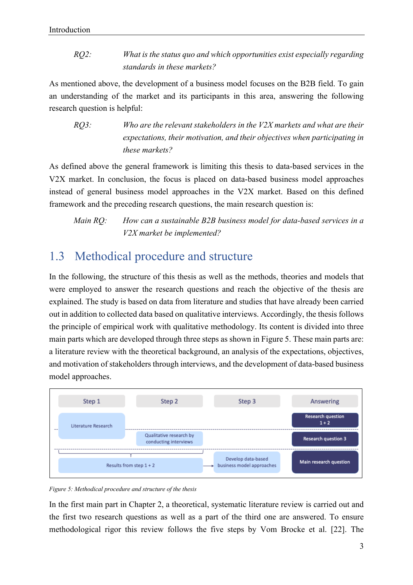*RQ2: What is the status quo and which opportunities exist especially regarding standards in these markets?*

As mentioned above, the development of a business model focuses on the B2B field. To gain an understanding of the market and its participants in this area, answering the following research question is helpful:

*RQ3: Who are the relevant stakeholders in the V2X markets and what are their expectations, their motivation, and their objectives when participating in these markets?*

As defined above the general framework is limiting this thesis to data-based services in the V2X market. In conclusion, the focus is placed on data-based business model approaches instead of general business model approaches in the V2X market. Based on this defined framework and the preceding research questions, the main research question is:

*Main RQ: How can a sustainable B2B business model for data-based services in a V2X market be implemented?*

### 1.3 Methodical procedure and structure

In the following, the structure of this thesis as well as the methods, theories and models that were employed to answer the research questions and reach the objective of the thesis are explained. The study is based on data from literature and studies that have already been carried out in addition to collected data based on qualitative interviews. Accordingly, the thesis follows the principle of empirical work with qualitative methodology. Its content is divided into three main parts which are developed through three steps as shown in Figure 5. These main parts are: a literature review with the theoretical background, an analysis of the expectations, objectives, and motivation of stakeholders through interviews, and the development of data-based business model approaches.



#### *Figure 5: Methodical procedure and structure of the thesis*

In the first main part in Chapter 2, a theoretical, systematic literature review is carried out and the first two research questions as well as a part of the third one are answered. To ensure methodological rigor this review follows the five steps by Vom Brocke et al. [22]. The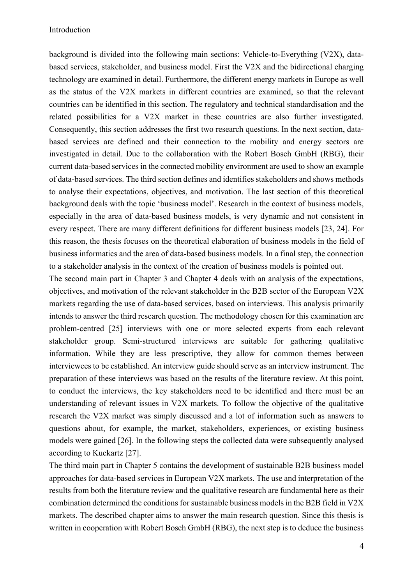background is divided into the following main sections: Vehicle-to-Everything (V2X), databased services, stakeholder, and business model. First the V2X and the bidirectional charging technology are examined in detail. Furthermore, the different energy markets in Europe as well as the status of the V2X markets in different countries are examined, so that the relevant countries can be identified in this section. The regulatory and technical standardisation and the related possibilities for a V2X market in these countries are also further investigated. Consequently, this section addresses the first two research questions. In the next section, databased services are defined and their connection to the mobility and energy sectors are investigated in detail. Due to the collaboration with the Robert Bosch GmbH (RBG), their current data-based services in the connected mobility environment are used to show an example of data-based services. The third section defines and identifies stakeholders and shows methods to analyse their expectations, objectives, and motivation. The last section of this theoretical background deals with the topic 'business model'. Research in the context of business models, especially in the area of data-based business models, is very dynamic and not consistent in every respect. There are many different definitions for different business models [23, 24]. For this reason, the thesis focuses on the theoretical elaboration of business models in the field of business informatics and the area of data-based business models. In a final step, the connection to a stakeholder analysis in the context of the creation of business models is pointed out.

The second main part in Chapter 3 and Chapter 4 deals with an analysis of the expectations, objectives, and motivation of the relevant stakeholder in the B2B sector of the European V2X markets regarding the use of data-based services, based on interviews. This analysis primarily intends to answer the third research question. The methodology chosen for this examination are problem-centred [25] interviews with one or more selected experts from each relevant stakeholder group. Semi-structured interviews are suitable for gathering qualitative information. While they are less prescriptive, they allow for common themes between interviewees to be established. An interview guide should serve as an interview instrument. The preparation of these interviews was based on the results of the literature review. At this point, to conduct the interviews, the key stakeholders need to be identified and there must be an understanding of relevant issues in V2X markets. To follow the objective of the qualitative research the V2X market was simply discussed and a lot of information such as answers to questions about, for example, the market, stakeholders, experiences, or existing business models were gained [26]. In the following steps the collected data were subsequently analysed according to Kuckartz [27].

The third main part in Chapter 5 contains the development of sustainable B2B business model approaches for data-based services in European V2X markets. The use and interpretation of the results from both the literature review and the qualitative research are fundamental here as their combination determined the conditions for sustainable business models in the B2B field in V2X markets. The described chapter aims to answer the main research question. Since this thesis is written in cooperation with Robert Bosch GmbH (RBG), the next step is to deduce the business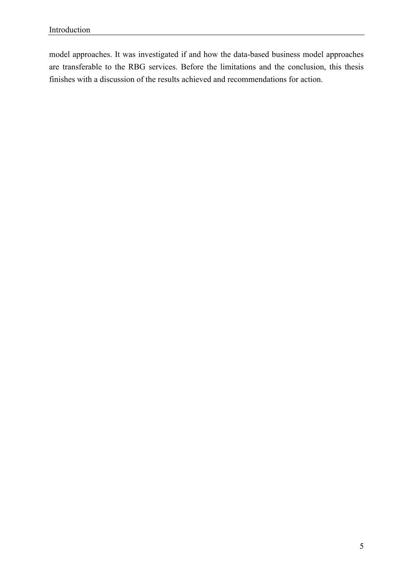model approaches. It was investigated if and how the data-based business model approaches are transferable to the RBG services. Before the limitations and the conclusion, this thesis finishes with a discussion of the results achieved and recommendations for action.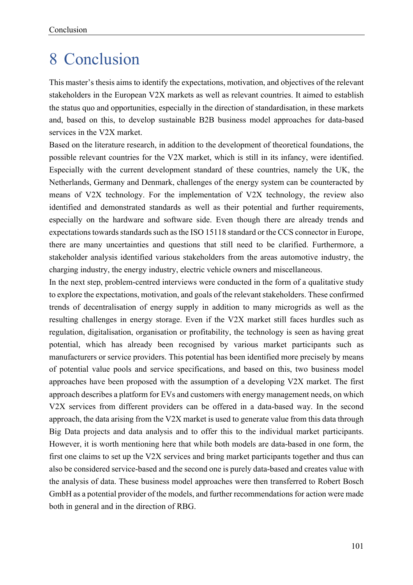### 8 Conclusion

This master's thesis aims to identify the expectations, motivation, and objectives of the relevant stakeholders in the European V2X markets as well as relevant countries. It aimed to establish the status quo and opportunities, especially in the direction of standardisation, in these markets and, based on this, to develop sustainable B2B business model approaches for data-based services in the V2X market.

Based on the literature research, in addition to the development of theoretical foundations, the possible relevant countries for the V2X market, which is still in its infancy, were identified. Especially with the current development standard of these countries, namely the UK, the Netherlands, Germany and Denmark, challenges of the energy system can be counteracted by means of V2X technology. For the implementation of V2X technology, the review also identified and demonstrated standards as well as their potential and further requirements, especially on the hardware and software side. Even though there are already trends and expectations towards standards such as the ISO 15118 standard or the CCS connector in Europe, there are many uncertainties and questions that still need to be clarified. Furthermore, a stakeholder analysis identified various stakeholders from the areas automotive industry, the charging industry, the energy industry, electric vehicle owners and miscellaneous.

In the next step, problem-centred interviews were conducted in the form of a qualitative study to explore the expectations, motivation, and goals of the relevant stakeholders. These confirmed trends of decentralisation of energy supply in addition to many microgrids as well as the resulting challenges in energy storage. Even if the V2X market still faces hurdles such as regulation, digitalisation, organisation or profitability, the technology is seen as having great potential, which has already been recognised by various market participants such as manufacturers or service providers. This potential has been identified more precisely by means of potential value pools and service specifications, and based on this, two business model approaches have been proposed with the assumption of a developing V2X market. The first approach describes a platform for EVs and customers with energy management needs, on which V2X services from different providers can be offered in a data-based way. In the second approach, the data arising from the V2X market is used to generate value from this data through Big Data projects and data analysis and to offer this to the individual market participants. However, it is worth mentioning here that while both models are data-based in one form, the first one claims to set up the V2X services and bring market participants together and thus can also be considered service-based and the second one is purely data-based and creates value with the analysis of data. These business model approaches were then transferred to Robert Bosch GmbH as a potential provider of the models, and further recommendations for action were made both in general and in the direction of RBG.